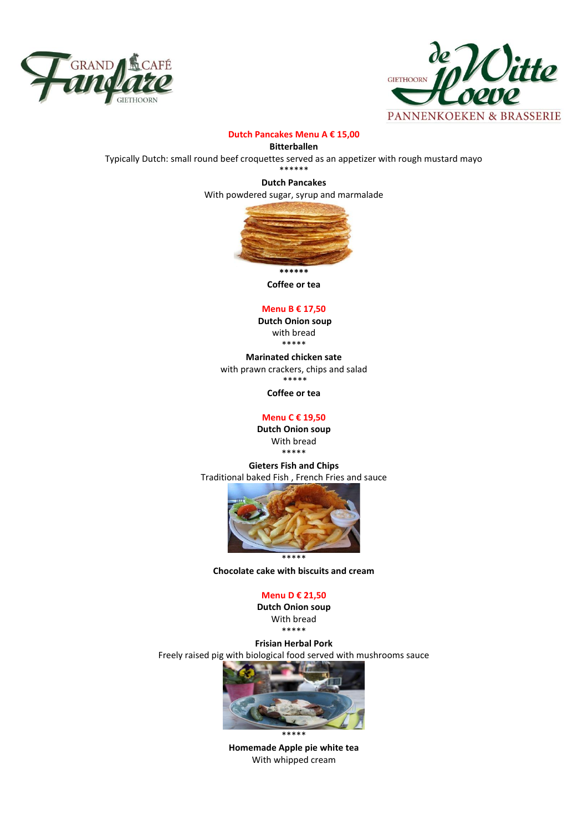



## **Dutch Pancakes Menu A € 15,00**

**Bitterballen**

Typically Dutch: small round beef croquettes served as an appetizer with rough mustard mayo

\*\*\*\*\*\* **Dutch Pancakes** 

With powdered sugar, syrup and marmalade



**Coffee or tea**

# **Menu B € 17,50**

**Dutch Onion soup** with bread \*\*\*\*\*

**Marinated chicken sate** with prawn crackers, chips and salad \*\*\*\*\*

**Coffee or tea**

## **Menu C € 19,50**

**Dutch Onion soup**  With bread \*\*\*\*\*

**Gieters Fish and Chips** Traditional baked Fish , French Fries and sauce



**Chocolate cake with biscuits and cream** 

#### **Menu D € 21,50**

**Dutch Onion soup**  With bread \*\*\*\*\*

**Frisian Herbal Pork** Freely raised pig with biological food served with mushrooms sauce



\*\*\*\*\* **Homemade Apple pie white tea** With whipped cream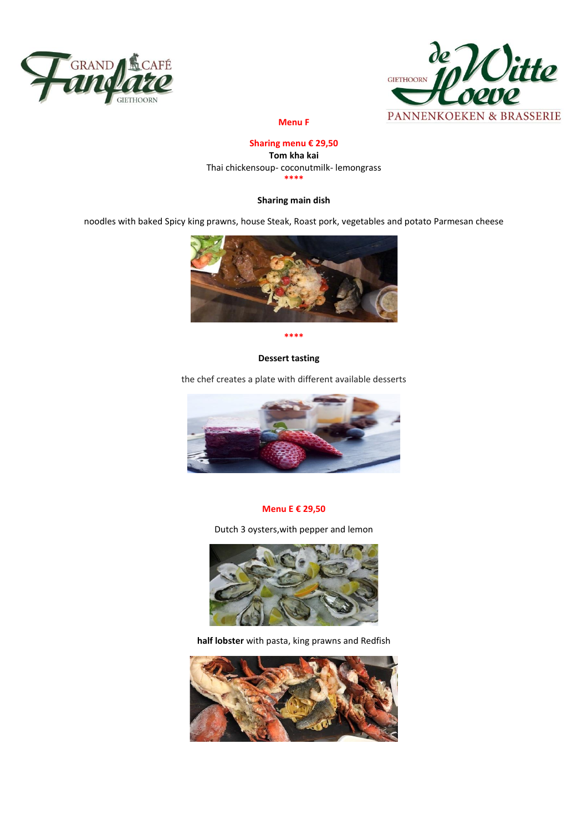



## **Menu F**

# **Sharing menu € 29,50**

**Tom kha kai** Thai chickensoup- coconutmilk- lemongrass **\*\*\*\***

# **Sharing main dish**

noodles with baked Spicy king prawns, house Steak, Roast pork, vegetables and potato Parmesan cheese



**\*\*\*\***

# **Dessert tasting**

the chef creates a plate with different available desserts



#### **Menu E € 29,50**

Dutch 3 oysters,with pepper and lemon



**half lobster** with pasta, king prawns and Redfish